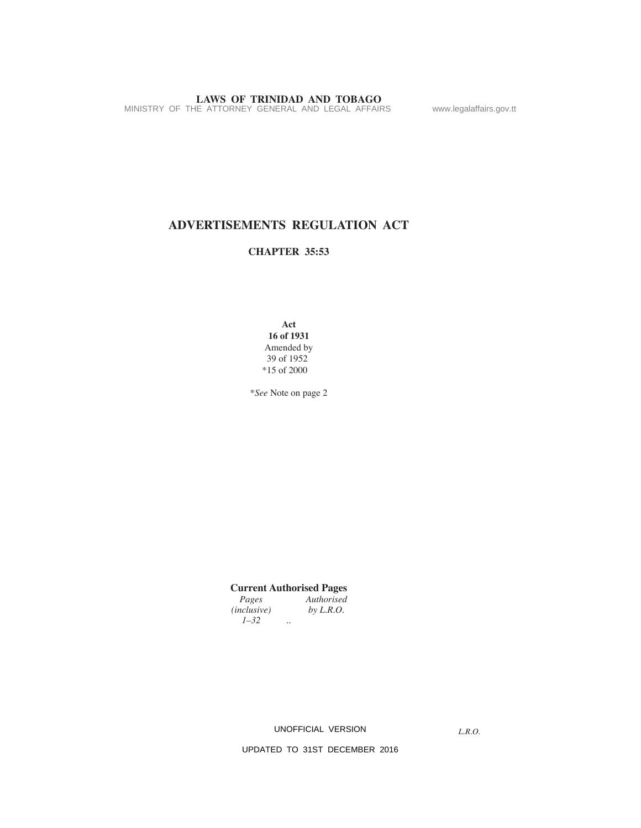**LAWS OF TRINIDAD AND TOBAGO**<br>MINISTRY OF THE ATTORNEY GENERAL AND LEGAL AFFAIRS www.legalaffairs.gov.tt

# **ADVERTISEMENTS REGULATION ACT**

# **CHAPTER 35:53**

**Act 16 of 1931** Amended by 39 of 1952 \*15 of 2000

\**See* Note on page 2

# **Current Authorised Pages**

*Authorised*<br>*by L.R.O.*  $(inclusive)$ *1–32 ..*

UNOFFICIAL VERSION

*L.R.O.*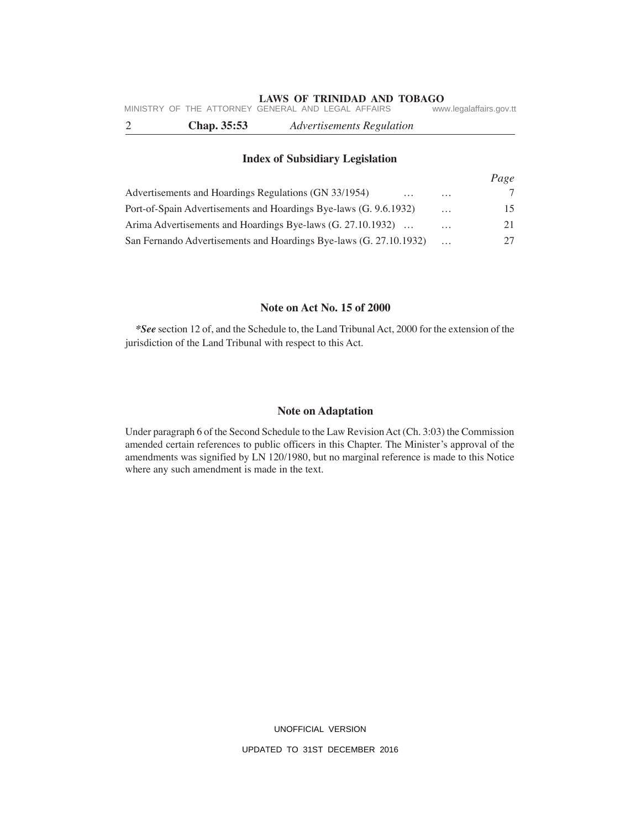| Chap. 35:53 | <b>Advertisements Regulation</b>                   |                         |
|-------------|----------------------------------------------------|-------------------------|
|             | MINISTRY OF THE ATTORNEY GENERAL AND LEGAL AFFAIRS | www.legalaffairs.gov.tt |

## **Index of Subsidiary Legislation**

|                                                                    |          | Page |
|--------------------------------------------------------------------|----------|------|
| Advertisements and Hoardings Regulations (GN 33/1954)<br>$\cdots$  | $\cdots$ |      |
| Port-of-Spain Advertisements and Hoardings Bye-laws (G. 9.6.1932)  | $\cdots$ | 15.  |
| Arima Advertisements and Hoardings Bye-laws (G. 27.10.1932)        | $\cdots$ | 21   |
| San Fernando Advertisements and Hoardings Bye-laws (G. 27.10.1932) |          |      |

# **Note on Act No. 15 of 2000**

*\*See* section 12 of, and the Schedule to, the Land Tribunal Act, 2000 for the extension of the jurisdiction of the Land Tribunal with respect to this Act.

## **Note on Adaptation**

Under paragraph 6 of the Second Schedule to the Law Revision Act (Ch. 3:03) the Commission amended certain references to public officers in this Chapter. The Minister's approval of the amendments was signified by LN 120/1980, but no marginal reference is made to this Notice where any such amendment is made in the text.

> UNOFFICIAL VERSION UPDATED TO 31ST DECEMBER 2016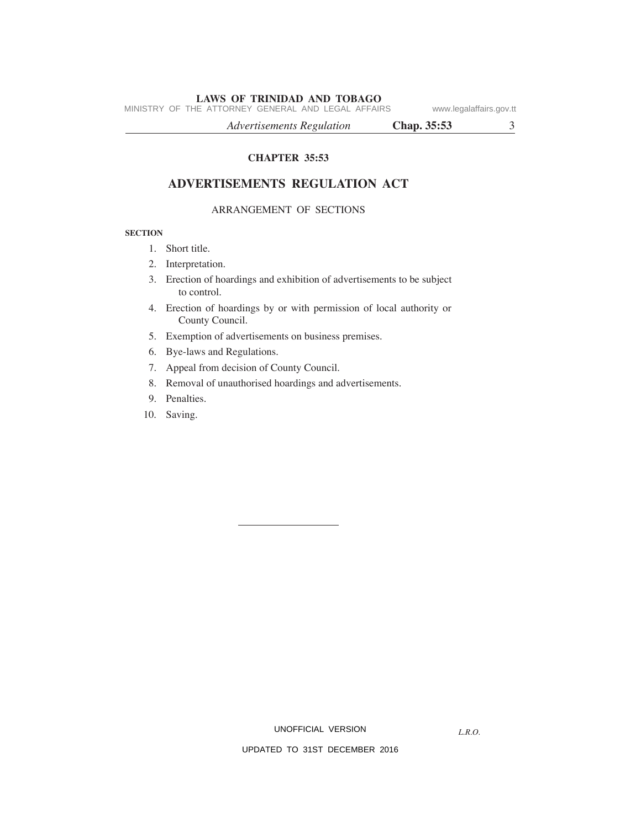MINISTRY OF THE ATTORNEY GENERAL AND LEGAL AFFAIRS www.legalaffairs.gov.tt

*Advertisements Regulation* **Chap. 35:53** 3

**CHAPTER 35:53**

# **ADVERTISEMENTS REGULATION ACT**

### ARRANGEMENT OF SECTIONS

#### **SECTION**

- 1. Short title.
- 2. Interpretation.
- 3. Erection of hoardings and exhibition of advertisements to be subject to control.
- 4. Erection of hoardings by or with permission of local authority or County Council.
- 5. Exemption of advertisements on business premises.
- 6. Bye-laws and Regulations.
- 7. Appeal from decision of County Council.
- 8. Removal of unauthorised hoardings and advertisements.
- 9. Penalties.
- 10. Saving.

UNOFFICIAL VERSION

*L.R.O.*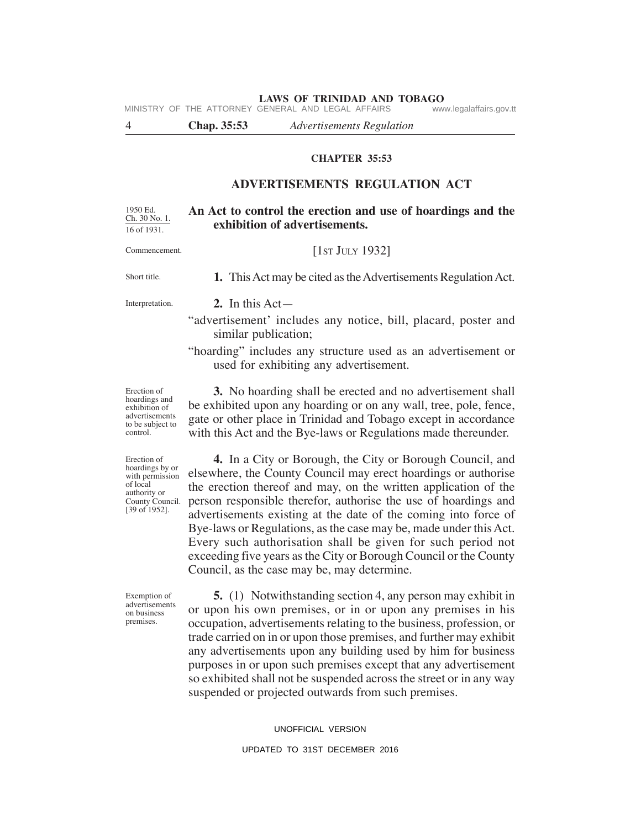**LAWS OF TRINIDAD AND TOBAGO**<br>GENERAL AND LEGAL AFFAIRS www.legalaffairs.gov.tt MINISTRY OF THE ATTORNEY GENERAL AND LEGAL AFFAIRS

4 **Chap. 35:53** *Advertisements Regulation*

### **CHAPTER 35:53**

# **ADVERTISEMENTS REGULATION ACT**

#### **An Act to control the erection and use of hoardings and the exhibition of advertisements.** 1950 Ed. Ch. 30 No. 1. 16 of 1931.

Commencement.

[1ST JULY 1932]

**1.** This Act may be cited as the Advertisements Regulation Act.

Short title.

Interpretation.

#### **2.** In this Act—

- "advertisement' includes any notice, bill, placard, poster and similar publication;
- "hoarding" includes any structure used as an advertisement or used for exhibiting any advertisement.

**3.** No hoarding shall be erected and no advertisement shall be exhibited upon any hoarding or on any wall, tree, pole, fence, gate or other place in Trinidad and Tobago except in accordance with this Act and the Bye-laws or Regulations made thereunder.

Erection of hoardings and exhibition of advertisements to be subject to control.

Erection of hoardings by or with permission of local authority or County Council. [39 of 1952].

**4.** In a City or Borough, the City or Borough Council, and elsewhere, the County Council may erect hoardings or authorise the erection thereof and may, on the written application of the person responsible therefor, authorise the use of hoardings and advertisements existing at the date of the coming into force of Bye-laws or Regulations, as the case may be, made under this Act. Every such authorisation shall be given for such period not exceeding five years as the City or Borough Council or the County Council, as the case may be, may determine.

Exemption of advertisements on business premises.

**5.** (1) Notwithstanding section 4, any person may exhibit in or upon his own premises, or in or upon any premises in his occupation, advertisements relating to the business, profession, or trade carried on in or upon those premises, and further may exhibit any advertisements upon any building used by him for business purposes in or upon such premises except that any advertisement so exhibited shall not be suspended across the street or in any way suspended or projected outwards from such premises.

#### UNOFFICIAL VERSION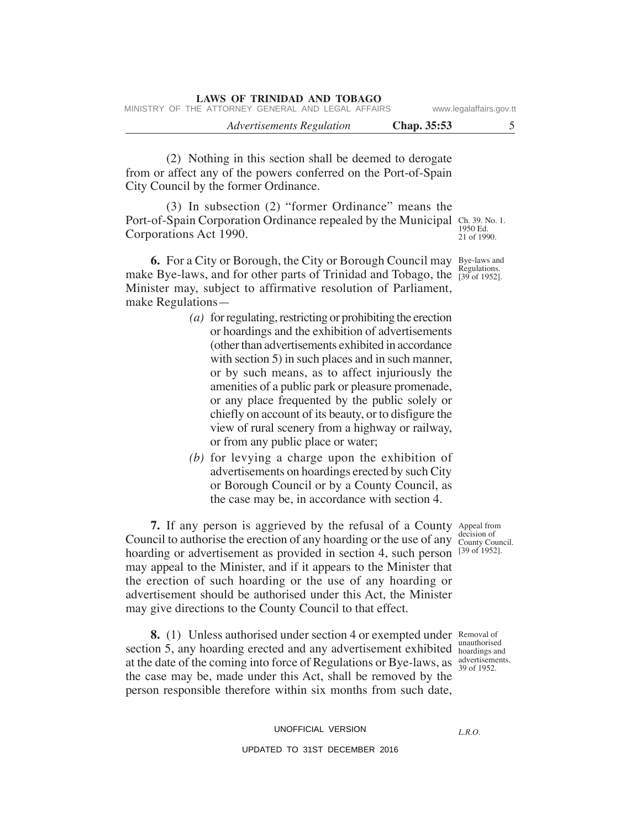| LAWS OF INHALDAD ARD TODAGO<br>MINISTRY OF THE ATTORNEY GENERAL AND LEGAL AFFAIRS | www.legalaffairs.gov.tt |  |
|-----------------------------------------------------------------------------------|-------------------------|--|
| Advertisements Regulation                                                         | Chap. 35:53             |  |

(2) Nothing in this section shall be deemed to derogate from or affect any of the powers conferred on the Port-of-Spain City Council by the former Ordinance.

**LAWS OF TRINIDAD AND TOBAGO**

Port-of-Spain Corporation Ordinance repealed by the Municipal Ch. 39. No. 1. 1950 Ed. 21 of 1990. (3) In subsection (2) "former Ordinance" means the Corporations Act 1990.

**6.** For a City or Borough, the City or Borough Council may Bye-laws and make Bye-laws, and for other parts of Trinidad and Tobago, the  $\frac{R$ egulations. Minister may, subject to affirmative resolution of Parliament, make Regulations—

- *(a)* for regulating, restricting or prohibiting the erection or hoardings and the exhibition of advertisements (other than advertisements exhibited in accordance with section 5) in such places and in such manner, or by such means, as to affect injuriously the amenities of a public park or pleasure promenade, or any place frequented by the public solely or chiefly on account of its beauty, or to disfigure the view of rural scenery from a highway or railway, or from any public place or water;
- *(b)* for levying a charge upon the exhibition of advertisements on hoardings erected by such City or Borough Council or by a County Council, as the case may be, in accordance with section 4.

**7.** If any person is aggrieved by the refusal of a County Appeal from Council to authorise the erection of any hoarding or the use of any decision of hoarding or advertisement as provided in section 4, such person [39 of 1952]. may appeal to the Minister, and if it appears to the Minister that the erection of such hoarding or the use of any hoarding or advertisement should be authorised under this Act, the Minister may give directions to the County Council to that effect.

**8.** (1) Unless authorised under section 4 or exempted under Removal of section 5, any hoarding erected and any advertisement exhibited boardings and at the date of the coming into force of Regulations or Bye-laws, as  $\frac{39 \text{ of } 1952.}{39 \text{ of } 1952.}$ the case may be, made under this Act, shall be removed by the person responsible therefore within six months from such date,

unauthorised

UNOFFICIAL VERSION UPDATED TO 31ST DECEMBER 2016

*L.R.O.*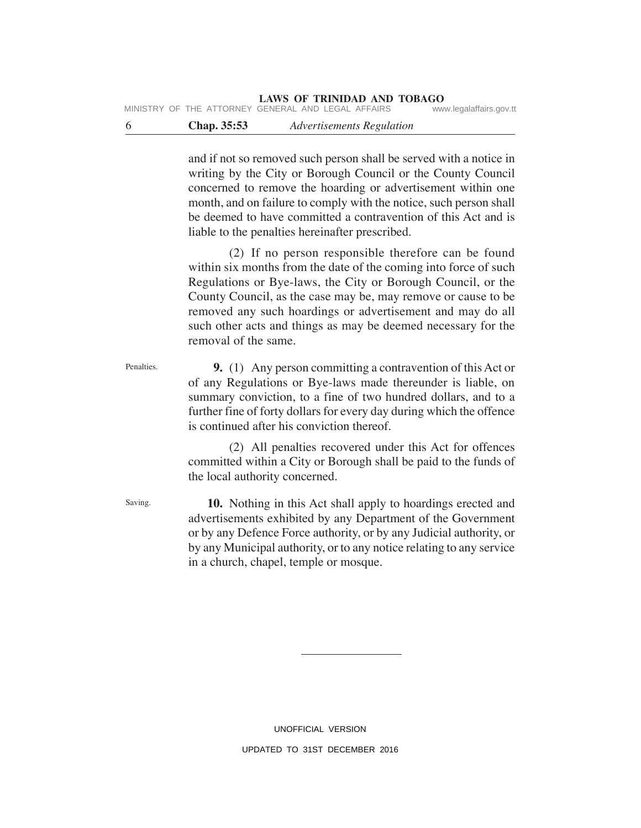and if not so removed such person shall be served with a notice in writing by the City or Borough Council or the County Council concerned to remove the hoarding or advertisement within one month, and on failure to comply with the notice, such person shall be deemed to have committed a contravention of this Act and is liable to the penalties hereinafter prescribed.

(2) If no person responsible therefore can be found within six months from the date of the coming into force of such Regulations or Bye-laws, the City or Borough Council, or the County Council, as the case may be, may remove or cause to be removed any such hoardings or advertisement and may do all such other acts and things as may be deemed necessary for the removal of the same.

**9.** (1) Any person committing a contravention of this Act or of any Regulations or Bye-laws made thereunder is liable, on summary conviction, to a fine of two hundred dollars, and to a further fine of forty dollars for every day during which the offence is continued after his conviction thereof. Penalties.

> (2) All penalties recovered under this Act for offences committed within a City or Borough shall be paid to the funds of the local authority concerned.

> **10.** Nothing in this Act shall apply to hoardings erected and advertisements exhibited by any Department of the Government or by any Defence Force authority, or by any Judicial authority, or by any Municipal authority, or to any notice relating to any service in a church, chapel, temple or mosque.

UPDATED TO 31ST DECEMBER 2016

UNOFFICIAL VERSION

Saving.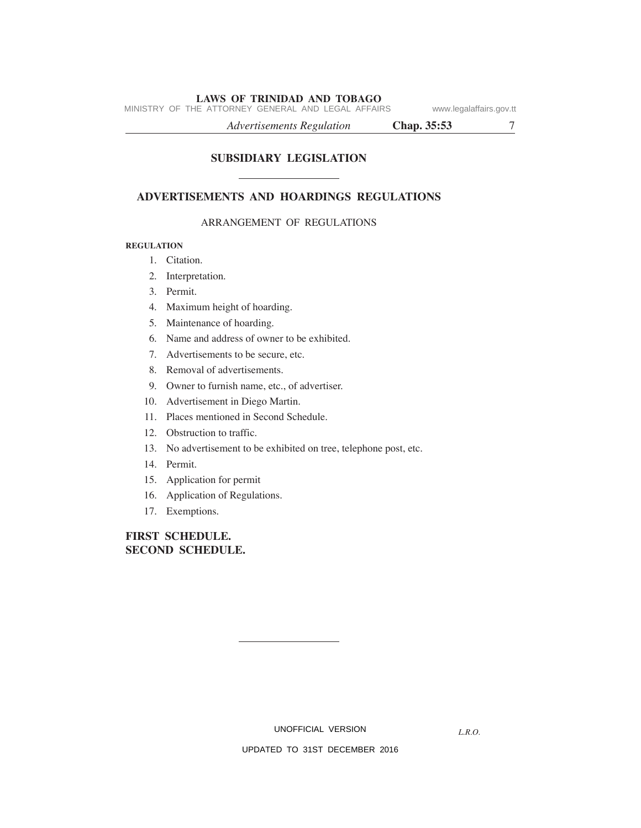MINISTRY OF THE ATTORNEY GENERAL AND LEGAL AFFAIRS www.legalaffairs.gov.tt

*Advertisements Regulation* **Chap. 35:53** 7

# **SUBSIDIARY LEGISLATION**

# **ADVERTISEMENTS AND HOARDINGS REGULATIONS**

#### ARRANGEMENT OF REGULATIONS

#### **REGULATION**

- 1. Citation.
- 2. Interpretation.
- 3. Permit.
- 4. Maximum height of hoarding.
- 5. Maintenance of hoarding.
- 6. Name and address of owner to be exhibited.
- 7. Advertisements to be secure, etc.
- 8. Removal of advertisements.
- 9. Owner to furnish name, etc., of advertiser.
- 10. Advertisement in Diego Martin.
- 11. Places mentioned in Second Schedule.
- 12. Obstruction to traffic.
- 13. No advertisement to be exhibited on tree, telephone post, etc.
- 14. Permit.
- 15. Application for permit
- 16. Application of Regulations.
- 17. Exemptions.

**FIRST SCHEDULE. SECOND SCHEDULE.**

UNOFFICIAL VERSION

*L.R.O.*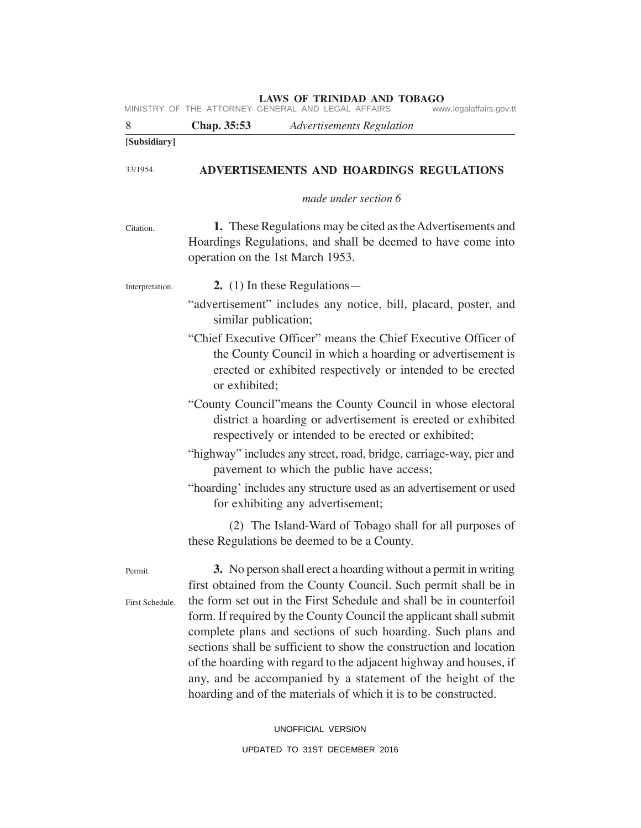| 8               | Chap. 35:53<br><b>Advertisements Regulation</b>                                                                                                                                                                                                                                                                                                                                                                                                                                        |
|-----------------|----------------------------------------------------------------------------------------------------------------------------------------------------------------------------------------------------------------------------------------------------------------------------------------------------------------------------------------------------------------------------------------------------------------------------------------------------------------------------------------|
| [Subsidiary]    |                                                                                                                                                                                                                                                                                                                                                                                                                                                                                        |
| 33/1954.        | ADVERTISEMENTS AND HOARDINGS REGULATIONS                                                                                                                                                                                                                                                                                                                                                                                                                                               |
|                 | made under section 6                                                                                                                                                                                                                                                                                                                                                                                                                                                                   |
| Citation.       | <b>1.</b> These Regulations may be cited as the Advertisements and<br>Hoardings Regulations, and shall be deemed to have come into<br>operation on the 1st March 1953.                                                                                                                                                                                                                                                                                                                 |
| Interpretation. | 2. $(1)$ In these Regulations —                                                                                                                                                                                                                                                                                                                                                                                                                                                        |
|                 | "advertisement" includes any notice, bill, placard, poster, and<br>similar publication;                                                                                                                                                                                                                                                                                                                                                                                                |
|                 | "Chief Executive Officer" means the Chief Executive Officer of<br>the County Council in which a hoarding or advertisement is<br>erected or exhibited respectively or intended to be erected<br>or exhibited;                                                                                                                                                                                                                                                                           |
|                 | "County Council" means the County Council in whose electoral<br>district a hoarding or advertisement is erected or exhibited<br>respectively or intended to be erected or exhibited;                                                                                                                                                                                                                                                                                                   |
|                 | "highway" includes any street, road, bridge, carriage-way, pier and<br>pavement to which the public have access;                                                                                                                                                                                                                                                                                                                                                                       |
|                 | "hoarding' includes any structure used as an advertisement or used<br>for exhibiting any advertisement;                                                                                                                                                                                                                                                                                                                                                                                |
|                 | (2) The Island-Ward of Tobago shall for all purposes of<br>these Regulations be deemed to be a County.                                                                                                                                                                                                                                                                                                                                                                                 |
| Permit.         | 3. No person shall erect a hoarding without a permit in writing<br>first obtained from the County Council. Such permit shall be in                                                                                                                                                                                                                                                                                                                                                     |
| First Schedule. | the form set out in the First Schedule and shall be in counterfoil<br>form. If required by the County Council the applicant shall submit<br>complete plans and sections of such hoarding. Such plans and<br>sections shall be sufficient to show the construction and location<br>of the hoarding with regard to the adjacent highway and houses, if<br>any, and be accompanied by a statement of the height of the<br>hoarding and of the materials of which it is to be constructed. |

UNOFFICIAL VERSION UPDATED TO 31ST DECEMBER 2016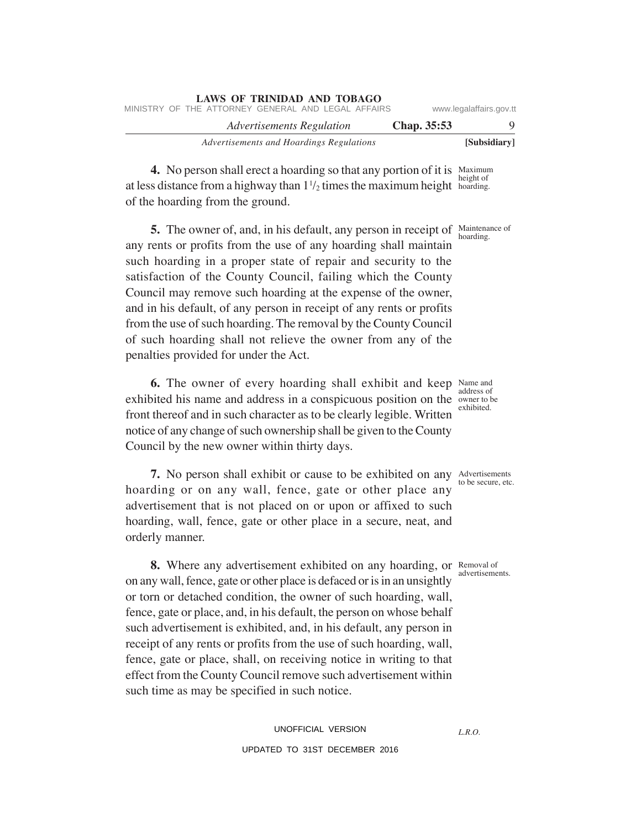| <b>LAWS OF TRINIDAD AND TOBAGO</b><br>MINISTRY OF THE ATTORNEY GENERAL AND LEGAL AFFAIRS |             | www.legalaffairs.gov.tt |
|------------------------------------------------------------------------------------------|-------------|-------------------------|
| Advertisements Regulation                                                                | Chap. 35:53 | $\Omega$                |
| Advertisements and Hoardings Regulations                                                 |             | [Subsidiary]            |

**4.** No person shall erect a hoarding so that any portion of it is Maximum at less distance from a highway than  $1\frac{1}{2}$  times the maximum height hoarding. of the hoarding from the ground. height of

**5.** The owner of, and, in his default, any person in receipt of Maintenance of any rents or profits from the use of any hoarding shall maintain such hoarding in a proper state of repair and security to the satisfaction of the County Council, failing which the County Council may remove such hoarding at the expense of the owner, and in his default, of any person in receipt of any rents or profits from the use of such hoarding. The removal by the County Council of such hoarding shall not relieve the owner from any of the penalties provided for under the Act.

**6.** The owner of every hoarding shall exhibit and keep Name and exhibited his name and address in a conspicuous position on the owner to be front thereof and in such character as to be clearly legible. Written notice of any change of such ownership shall be given to the County Council by the new owner within thirty days.

**7.** No person shall exhibit or cause to be exhibited on any Advertisements hoarding or on any wall, fence, gate or other place any advertisement that is not placed on or upon or affixed to such hoarding, wall, fence, gate or other place in a secure, neat, and orderly manner.

**8.** Where any advertisement exhibited on any hoarding, or Removal of on any wall, fence, gate or other place is defaced or is in an unsightly or torn or detached condition, the owner of such hoarding, wall, fence, gate or place, and, in his default, the person on whose behalf such advertisement is exhibited, and, in his default, any person in receipt of any rents or profits from the use of such hoarding, wall, fence, gate or place, shall, on receiving notice in writing to that effect from the County Council remove such advertisement within such time as may be specified in such notice.

> UNOFFICIAL VERSION UPDATED TO 31ST DECEMBER 2016

hoarding.

address of exhibited.

to be secure, etc.

advertisements.

*L.R.O.*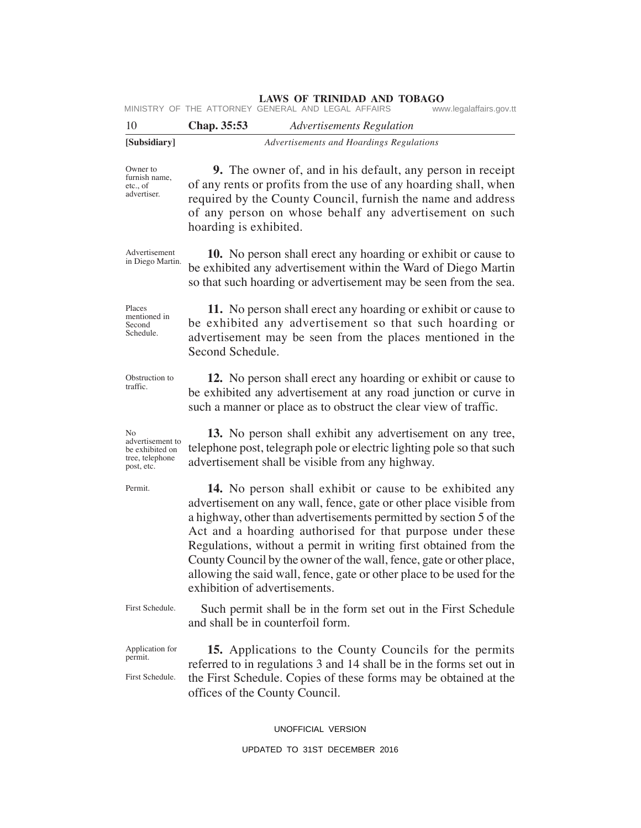|                                                                            | <b>LAWS OF TRINIDAD AND TOBAGO</b><br>MINISTRY OF THE ATTORNEY GENERAL AND LEGAL AFFAIRS<br>www.legalaffairs.gov.tt                                                                                                                                                                                                                                                                                                                                                                                                             |
|----------------------------------------------------------------------------|---------------------------------------------------------------------------------------------------------------------------------------------------------------------------------------------------------------------------------------------------------------------------------------------------------------------------------------------------------------------------------------------------------------------------------------------------------------------------------------------------------------------------------|
| 10                                                                         | Chap. 35:53<br><b>Advertisements Regulation</b>                                                                                                                                                                                                                                                                                                                                                                                                                                                                                 |
| [Subsidiary]                                                               | Advertisements and Hoardings Regulations                                                                                                                                                                                                                                                                                                                                                                                                                                                                                        |
| Owner to<br>furnish name,<br>etc., of<br>advertiser.                       | 9. The owner of, and in his default, any person in receipt<br>of any rents or profits from the use of any hoarding shall, when<br>required by the County Council, furnish the name and address<br>of any person on whose behalf any advertisement on such<br>hoarding is exhibited.                                                                                                                                                                                                                                             |
| Advertisement<br>in Diego Martin.                                          | <b>10.</b> No person shall erect any hoarding or exhibit or cause to<br>be exhibited any advertisement within the Ward of Diego Martin<br>so that such hoarding or advertisement may be seen from the sea.                                                                                                                                                                                                                                                                                                                      |
| Places<br>mentioned in<br>Second<br>Schedule.                              | 11. No person shall erect any hoarding or exhibit or cause to<br>be exhibited any advertisement so that such hoarding or<br>advertisement may be seen from the places mentioned in the<br>Second Schedule.                                                                                                                                                                                                                                                                                                                      |
| Obstruction to<br>traffic.                                                 | 12. No person shall erect any hoarding or exhibit or cause to<br>be exhibited any advertisement at any road junction or curve in<br>such a manner or place as to obstruct the clear view of traffic.                                                                                                                                                                                                                                                                                                                            |
| No<br>advertisement to<br>be exhibited on<br>tree, telephone<br>post, etc. | 13. No person shall exhibit any advertisement on any tree,<br>telephone post, telegraph pole or electric lighting pole so that such<br>advertisement shall be visible from any highway.                                                                                                                                                                                                                                                                                                                                         |
| Permit.                                                                    | <b>14.</b> No person shall exhibit or cause to be exhibited any<br>advertisement on any wall, fence, gate or other place visible from<br>a highway, other than advertisements permitted by section 5 of the<br>Act and a hoarding authorised for that purpose under these<br>Regulations, without a permit in writing first obtained from the<br>County Council by the owner of the wall, fence, gate or other place,<br>allowing the said wall, fence, gate or other place to be used for the<br>exhibition of advertisements. |
| First Schedule.                                                            | Such permit shall be in the form set out in the First Schedule<br>and shall be in counterfoil form.                                                                                                                                                                                                                                                                                                                                                                                                                             |
| Application for<br>permit.                                                 | <b>15.</b> Applications to the County Councils for the permits<br>$\mathcal{L}_{\text{max}}$ 2 and 14 about the in the fi                                                                                                                                                                                                                                                                                                                                                                                                       |

referred to in regulations 3 and 14 shall be in the forms set out in the First Schedule. Copies of these forms may be obtained at the offices of the County Council. First Schedule.

UNOFFICIAL VERSION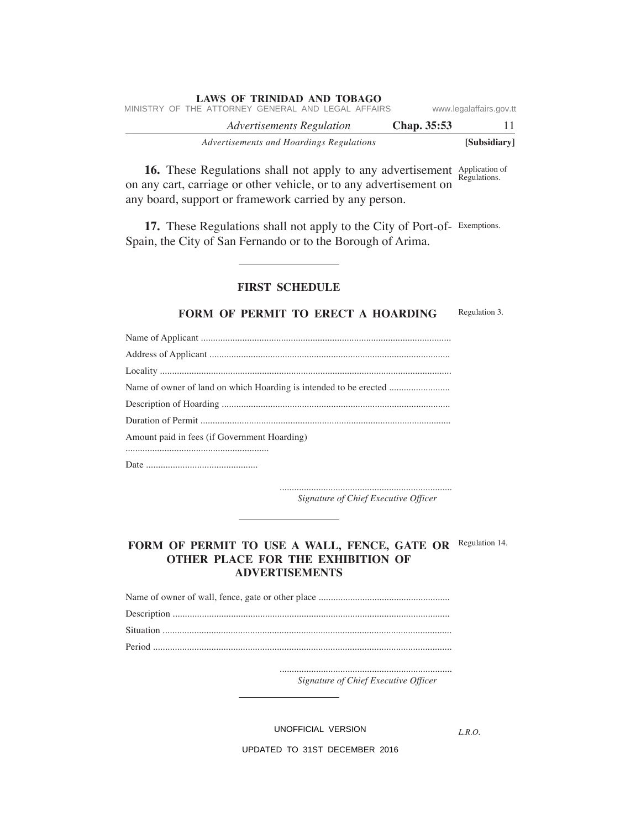|  | LAWS OF TRINIDAD AND TOBAGO                        |                           |             |                         |  |
|--|----------------------------------------------------|---------------------------|-------------|-------------------------|--|
|  | MINISTRY OF THE ATTORNEY GENERAL AND LEGAL AFFAIRS |                           |             | www.legalaffairs.gov.tt |  |
|  |                                                    | Advertisements Regulation | Chap. 35:53 |                         |  |
|  | Advertisements and Hoardings Regulations           |                           |             | [Subsidiary]            |  |

**16.** These Regulations shall not apply to any advertisement Application of on any cart, carriage or other vehicle, or to any advertisement on any board, support or framework carried by any person. Regulations.

17. These Regulations shall not apply to the City of Port-of- Exemptions. Spain, the City of San Fernando or to the Borough of Arima.

# **FIRST SCHEDULE**

#### **FORM OF PERMIT TO ERECT A HOARDING** Regulation 3.

| Amount paid in fees (if Government Hoarding) |
|----------------------------------------------|
|                                              |
|                                              |

....................................................................... *Signature of Chief Executive Officer*

# FORM OF PERMIT TO USE A WALL, FENCE, GATE OR Regulation 14. **OTHER PLACE FOR THE EXHIBITION OF ADVERTISEMENTS**

....................................................................... *Signature of Chief Executive Officer*

UNOFFICIAL VERSION

*L.R.O.*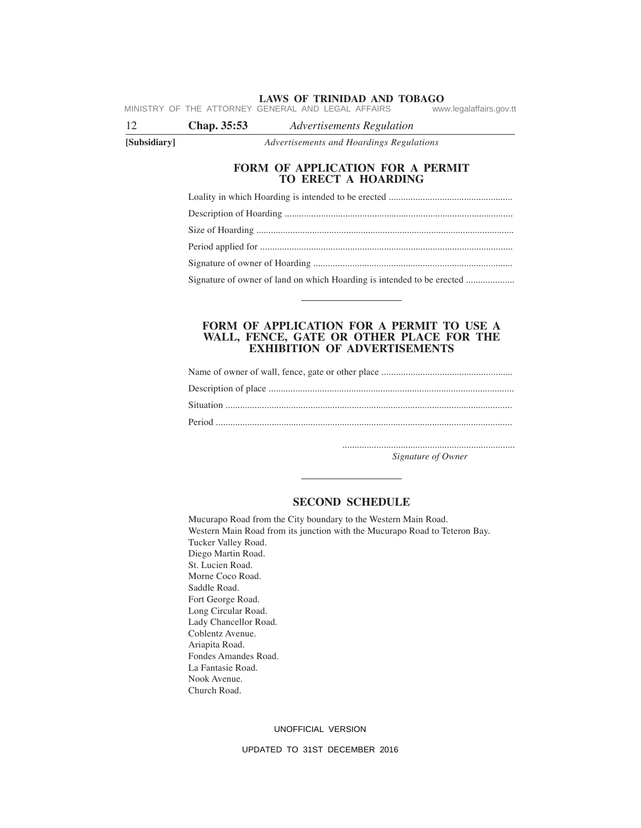**LAWS OF TRINIDAD AND TOBAGO** MINISTRY OF THE ATTORNEY GENERAL AND LEGAL AFFAIRS

12 **Chap. 35:53** *Advertisements Regulation*

**[Subsidiary]** *Advertisements and Hoardings Regulations*

### **FORM OF APPLICATION FOR A PERMIT TO ERECT A HOARDING**

Loality in which Hoarding is intended to be erected ...................................................

Description of Hoarding ..............................................................................................

Size of Hoarding .......................................................................................................... Period applied for ........................................................................................................

Signature of owner of Hoarding ..................................................................................

Signature of owner of land on which Hoarding is intended to be erected ...................

#### **FORM OF APPLICATION FOR A PERMIT TO USE A WALL, FENCE, GATE OR OTHER PLACE FOR THE EXHIBITION OF ADVERTISEMENTS**

....................................................................... *Signature of Owner*

#### **SECOND SCHEDULE**

Mucurapo Road from the City boundary to the Western Main Road. Western Main Road from its junction with the Mucurapo Road to Teteron Bay. Tucker Valley Road. Diego Martin Road. St. Lucien Road. Morne Coco Road. Saddle Road. Fort George Road. Long Circular Road. Lady Chancellor Road. Coblentz Avenue. Ariapita Road. Fondes Amandes Road. La Fantasie Road. Nook Avenue. Church Road.

#### UNOFFICIAL VERSION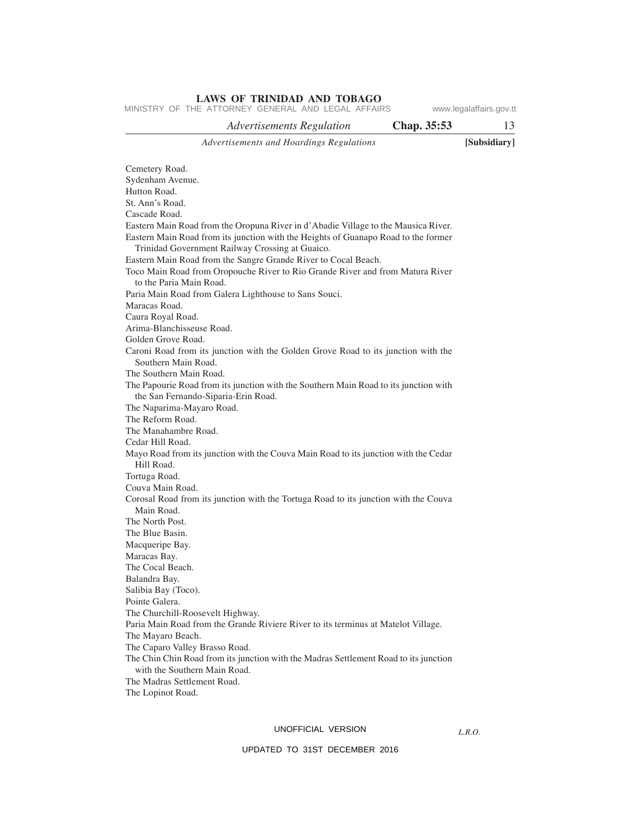*Advertisements and Hoardings Regulations* **[Subsidiary] LAWS OF TRINIDAD AND TOBAGO** *Advertisements Regulation* **Chap. 35:53** 13 Cemetery Road. Sydenham Avenue. Hutton Road. St. Ann's Road. Cascade Road. Eastern Main Road from the Oropuna River in d'Abadie Village to the Mausica River. Eastern Main Road from its junction with the Heights of Guanapo Road to the former Trinidad Government Railway Crossing at Guaico. Eastern Main Road from the Sangre Grande River to Cocal Beach. Toco Main Road from Oropouche River to Rio Grande River and from Matura River to the Paria Main Road. Paria Main Road from Galera Lighthouse to Sans Souci. Maracas Road. Caura Royal Road. Arima-Blanchisseuse Road. Golden Grove Road. Caroni Road from its junction with the Golden Grove Road to its junction with the Southern Main Road. The Southern Main Road. The Papourie Road from its junction with the Southern Main Road to its junction with the San Fernando-Siparia-Erin Road. The Naparima-Mayaro Road. The Reform Road. The Manahambre Road. Cedar Hill Road. Mayo Road from its junction with the Couva Main Road to its junction with the Cedar Hill Road. Tortuga Road. Couva Main Road. Corosal Road from its junction with the Tortuga Road to its junction with the Couva Main Road. The North Post. The Blue Basin. Macqueripe Bay. Maracas Bay. The Cocal Beach. Balandra Bay. Salibia Bay (Toco). Pointe Galera. The Churchill-Roosevelt Highway. Paria Main Road from the Grande Riviere River to its terminus at Matelot Village. The Mayaro Beach. The Caparo Valley Brasso Road. The Chin Chin Road from its junction with the Madras Settlement Road to its junction with the Southern Main Road. The Madras Settlement Road. MINISTRY OF THE ATTORNEY GENERAL AND LEGAL AFFAIRS www.legalaffairs.gov.tt

The Lopinot Road.

#### UNOFFICIAL VERSION

*L.R.O.*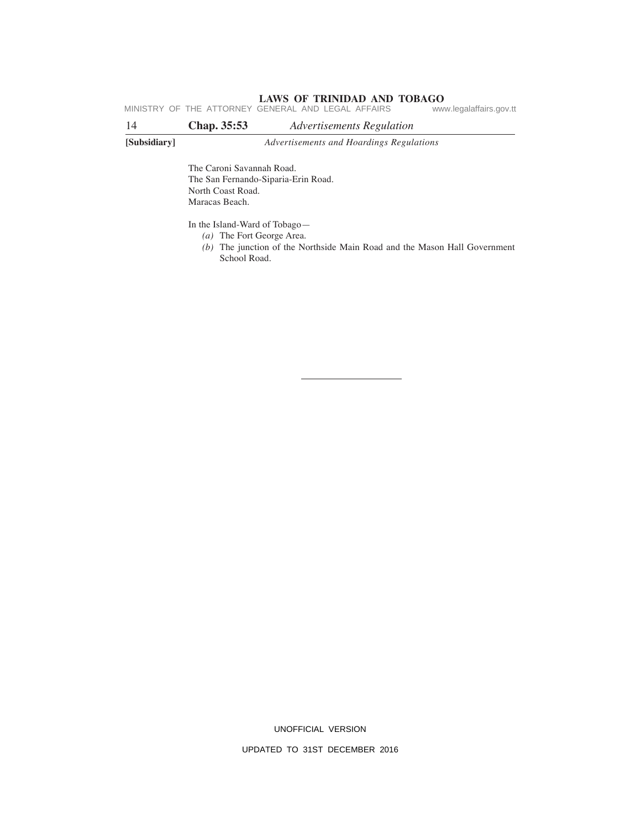MINISTRY OF THE ATTORNEY GENERAL AND LEGAL AFFAIRS www.legalaffairs.gov.tt

| 14           | Chap. 35:53                                                      | Advertisements Regulation                |  |
|--------------|------------------------------------------------------------------|------------------------------------------|--|
| [Subsidiary] |                                                                  | Advertisements and Hoardings Regulations |  |
|              | The Caroni Savannah Road.<br>The San Fernando-Siparia-Erin Road. |                                          |  |
|              | North Coast Road.                                                |                                          |  |
|              | Maracas Beach.                                                   |                                          |  |
|              | .                                                                |                                          |  |

In the Island-Ward of Tobago—

- *(a)* The Fort George Area.
- *(b)* The junction of the Northside Main Road and the Mason Hall Government School Road.

UNOFFICIAL VERSION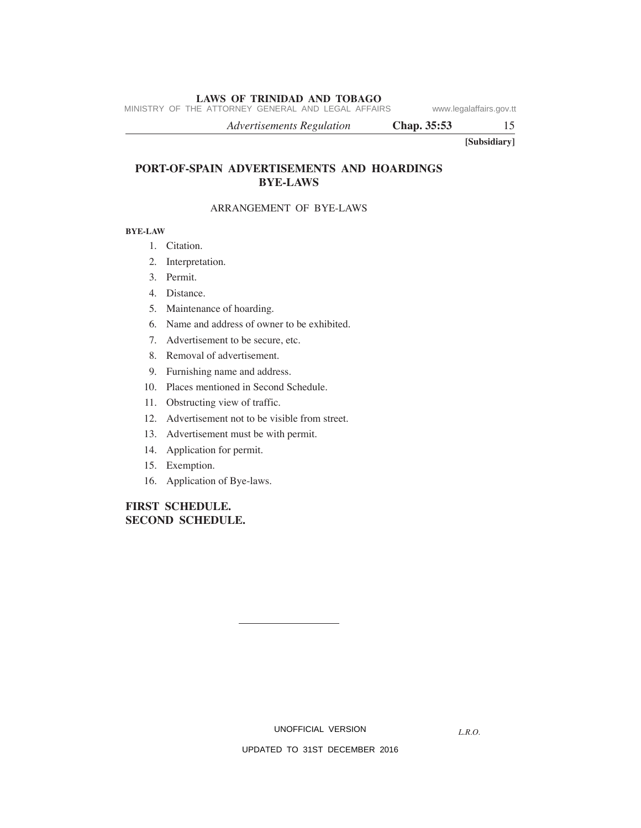MINISTRY OF THE ATTORNEY GENERAL AND LEGAL AFFAIRS www.legalaffairs.gov.tt

*Advertisements Regulation* **Chap. 35:53** 15

**[Subsidiary]**

# **PORT-OF-SPAIN ADVERTISEMENTS AND HOARDINGS BYE-LAWS**

# ARRANGEMENT OF BYE-LAWS

#### **BYE-LAW**

- 1. Citation.
- 2. Interpretation.
- 3. Permit.
- 4. Distance.
- 5. Maintenance of hoarding.
- 6. Name and address of owner to be exhibited.
- 7. Advertisement to be secure, etc.
- 8. Removal of advertisement.
- 9. Furnishing name and address.
- 10. Places mentioned in Second Schedule.
- 11. Obstructing view of traffic.
- 12. Advertisement not to be visible from street.
- 13. Advertisement must be with permit.
- 14. Application for permit.
- 15. Exemption.
- 16. Application of Bye-laws.

# **FIRST SCHEDULE. SECOND SCHEDULE.**

UNOFFICIAL VERSION

*L.R.O.*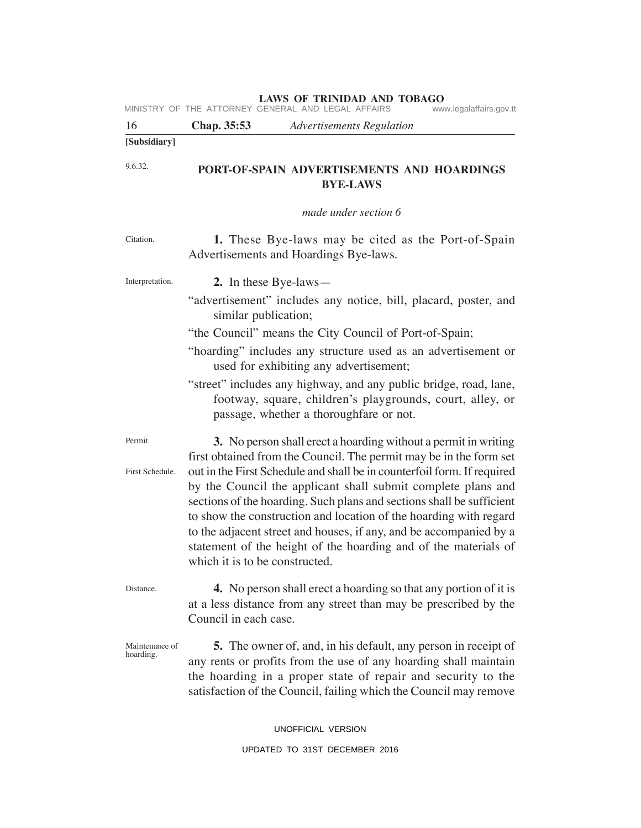| [Subsidiary] |             |                                                    |                         |
|--------------|-------------|----------------------------------------------------|-------------------------|
| -16          | Chap. 35:53 | Advertisements Regulation                          |                         |
|              |             | MINISTRY OF THE ATTORNEY GENERAL AND LEGAL AFFAIRS | www.legalaffairs.gov.tt |

**PORT-OF-SPAIN ADVERTISEMENTS AND HOARDINGS BYE-LAWS** 9.6.32.

*made under section 6*

| Citation.                   | 1. These Bye-laws may be cited as the Port-of-Spain                                                                                                                                                                                                                                                                                                                                                                                                                                                                                                                                                       |  |
|-----------------------------|-----------------------------------------------------------------------------------------------------------------------------------------------------------------------------------------------------------------------------------------------------------------------------------------------------------------------------------------------------------------------------------------------------------------------------------------------------------------------------------------------------------------------------------------------------------------------------------------------------------|--|
|                             | Advertisements and Hoardings Bye-laws.                                                                                                                                                                                                                                                                                                                                                                                                                                                                                                                                                                    |  |
| Interpretation.             | 2. In these Bye-laws—<br>"advertisement" includes any notice, bill, placard, poster, and<br>similar publication;<br>"the Council" means the City Council of Port-of-Spain;<br>"hoarding" includes any structure used as an advertisement or<br>used for exhibiting any advertisement;<br>"street" includes any highway, and any public bridge, road, lane,<br>footway, square, children's playgrounds, court, alley, or<br>passage, whether a thoroughfare or not.                                                                                                                                        |  |
| Permit.<br>First Schedule.  | 3. No person shall erect a hoarding without a permit in writing<br>first obtained from the Council. The permit may be in the form set<br>out in the First Schedule and shall be in counterfoil form. If required<br>by the Council the applicant shall submit complete plans and<br>sections of the hoarding. Such plans and sections shall be sufficient<br>to show the construction and location of the hoarding with regard<br>to the adjacent street and houses, if any, and be accompanied by a<br>statement of the height of the hoarding and of the materials of<br>which it is to be constructed. |  |
| Distance.                   | 4. No person shall erect a hoarding so that any portion of it is<br>at a less distance from any street than may be prescribed by the<br>Council in each case.                                                                                                                                                                                                                                                                                                                                                                                                                                             |  |
| Maintenance of<br>hoarding. | <b>5.</b> The owner of, and, in his default, any person in receipt of<br>any rents or profits from the use of any hoarding shall maintain<br>the hoarding in a proper state of repair and security to the<br>satisfaction of the Council, failing which the Council may remove                                                                                                                                                                                                                                                                                                                            |  |

UNOFFICIAL VERSION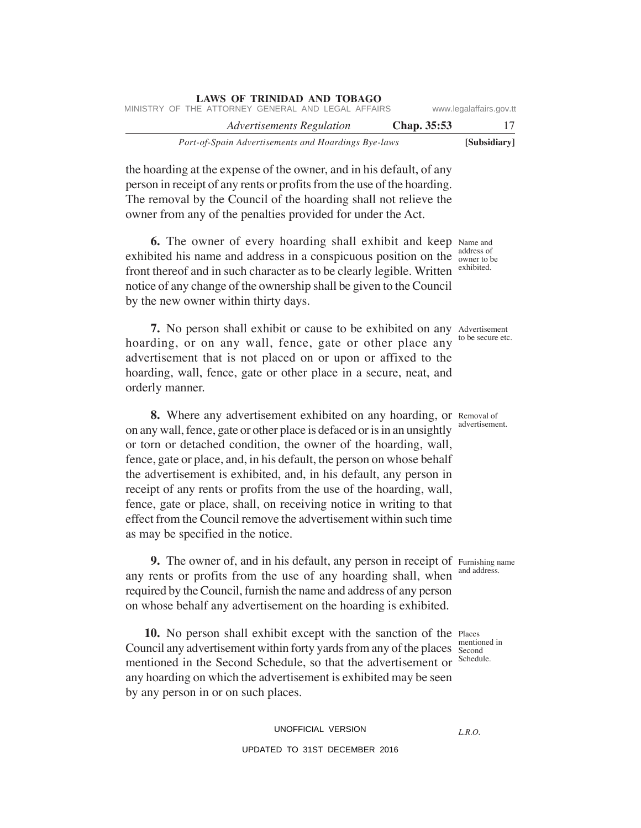| www.legalaffairs.gov.tt |             |                           | <b>LAWS OF TRINIDAD AND TOBAGO</b><br>MINISTRY OF THE ATTORNEY GENERAL AND LEGAL AFFAIRS |  |
|-------------------------|-------------|---------------------------|------------------------------------------------------------------------------------------|--|
| 17                      | Chap. 35:53 | Advertisements Regulation |                                                                                          |  |
| [Subsidiary]            |             |                           | Port-of-Spain Advertisements and Hoardings Bye-laws                                      |  |

the hoarding at the expense of the owner, and in his default, of any person in receipt of any rents or profits from the use of the hoarding. The removal by the Council of the hoarding shall not relieve the owner from any of the penalties provided for under the Act.

**6.** The owner of every hoarding shall exhibit and keep Name and exhibited his name and address in a conspicuous position on the  $\frac{\text{address of}}{\text{owner to }t}$ front thereof and in such character as to be clearly legible. Written notice of any change of the ownership shall be given to the Council by the new owner within thirty days.

**7.** No person shall exhibit or cause to be exhibited on any Advertisement hoarding, or on any wall, fence, gate or other place any advertisement that is not placed on or upon or affixed to the hoarding, wall, fence, gate or other place in a secure, neat, and orderly manner.

8. Where any advertisement exhibited on any hoarding, or Removal of on any wall, fence, gate or other place is defaced or is in an unsightly or torn or detached condition, the owner of the hoarding, wall, fence, gate or place, and, in his default, the person on whose behalf the advertisement is exhibited, and, in his default, any person in receipt of any rents or profits from the use of the hoarding, wall, fence, gate or place, shall, on receiving notice in writing to that effect from the Council remove the advertisement within such time as may be specified in the notice.

**9.** The owner of, and in his default, any person in receipt of Furnishing name any rents or profits from the use of any hoarding shall, when required by the Council, furnish the name and address of any person on whose behalf any advertisement on the hoarding is exhibited.

10. No person shall exhibit except with the sanction of the Places Council any advertisement within forty yards from any of the places Second mentioned in the Second Schedule, so that the advertisement or any hoarding on which the advertisement is exhibited may be seen by any person in or on such places.

owner to be exhibited.

to be secure etc.

advertisement.

and address.

mentioned in Schedule.

# UNOFFICIAL VERSION UPDATED TO 31ST DECEMBER 2016

*L.R.O.*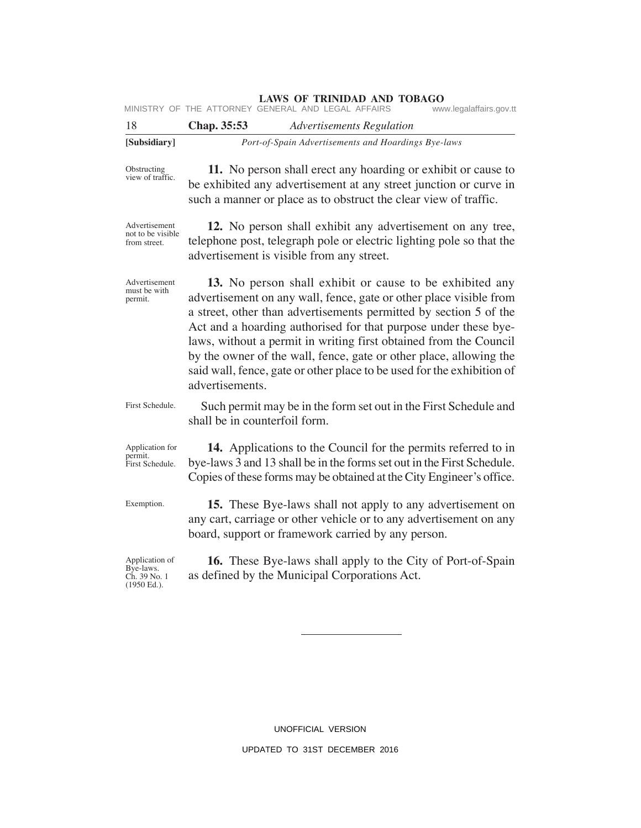MINISTRY OF THE ATTORNEY GENERAL AND LEGAL AFFAIRS www.legalaffairs.gov.tt

| 18                                                         | Chap. 35:53                   | <b>Advertisements Regulation</b>                                                                                                                                                                                                                                                                                                                                                                                                                                                            |
|------------------------------------------------------------|-------------------------------|---------------------------------------------------------------------------------------------------------------------------------------------------------------------------------------------------------------------------------------------------------------------------------------------------------------------------------------------------------------------------------------------------------------------------------------------------------------------------------------------|
| [Subsidiary]                                               |                               | Port-of-Spain Advertisements and Hoardings Bye-laws                                                                                                                                                                                                                                                                                                                                                                                                                                         |
| Obstructing<br>view of traffic.                            |                               | 11. No person shall erect any hoarding or exhibit or cause to<br>be exhibited any advertisement at any street junction or curve in<br>such a manner or place as to obstruct the clear view of traffic.                                                                                                                                                                                                                                                                                      |
| Advertisement<br>not to be visible.<br>from street.        |                               | 12. No person shall exhibit any advertisement on any tree,<br>telephone post, telegraph pole or electric lighting pole so that the<br>advertisement is visible from any street.                                                                                                                                                                                                                                                                                                             |
| Advertisement<br>must be with<br>permit.                   | advertisements.               | 13. No person shall exhibit or cause to be exhibited any<br>advertisement on any wall, fence, gate or other place visible from<br>a street, other than advertisements permitted by section 5 of the<br>Act and a hoarding authorised for that purpose under these bye-<br>laws, without a permit in writing first obtained from the Council<br>by the owner of the wall, fence, gate or other place, allowing the<br>said wall, fence, gate or other place to be used for the exhibition of |
| First Schedule.                                            | shall be in counterfoil form. | Such permit may be in the form set out in the First Schedule and                                                                                                                                                                                                                                                                                                                                                                                                                            |
| Application for<br>permit.<br>First Schedule.              |                               | 14. Applications to the Council for the permits referred to in<br>bye-laws 3 and 13 shall be in the forms set out in the First Schedule.<br>Copies of these forms may be obtained at the City Engineer's office.                                                                                                                                                                                                                                                                            |
| Exemption.                                                 |                               | 15. These Bye-laws shall not apply to any advertisement on<br>any cart, carriage or other vehicle or to any advertisement on any<br>board, support or framework carried by any person.                                                                                                                                                                                                                                                                                                      |
| Application of<br>Bye-laws.<br>Ch. 39 No. 1<br>(1950 Ed.). |                               | <b>16.</b> These Bye-laws shall apply to the City of Port-of-Spain<br>as defined by the Municipal Corporations Act.                                                                                                                                                                                                                                                                                                                                                                         |
|                                                            |                               |                                                                                                                                                                                                                                                                                                                                                                                                                                                                                             |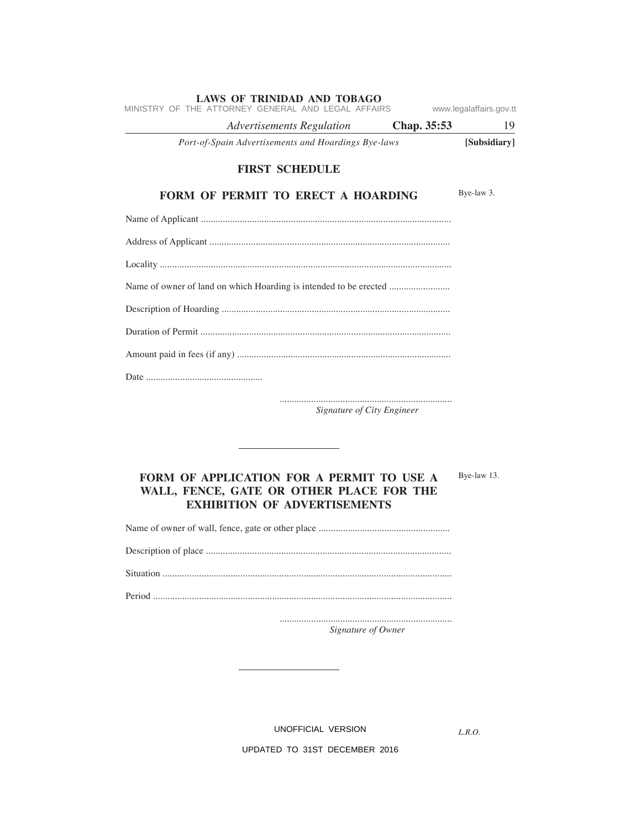| <b>LAWS OF TRINIDAD AND TOBAGO</b><br>MINISTRY OF THE ATTORNEY GENERAL AND LEGAL AFFAIRS | www.legalaffairs.gov.tt |
|------------------------------------------------------------------------------------------|-------------------------|
| <i>Advertisements Regulation</i><br>Chap. 35:53                                          | 19                      |
| Port-of-Spain Advertisements and Hoardings Bye-laws                                      | [Subsidiary]            |
| <b>FIRST SCHEDULE</b>                                                                    |                         |
| <b>FORM OF PERMIT TO ERECT A HOARDING</b>                                                | Bye-law 3.              |
|                                                                                          |                         |
|                                                                                          |                         |
|                                                                                          |                         |
|                                                                                          |                         |
|                                                                                          |                         |
|                                                                                          |                         |
|                                                                                          |                         |
|                                                                                          |                         |

....................................................................... *Signature of City Engineer*

# **FORM OF APPLICATION FOR A PERMIT TO USE A WALL, FENCE, GATE OR OTHER PLACE FOR THE EXHIBITION OF ADVERTISEMENTS**

Name of owner of wall, fence, gate or other place ......................................................

Description of place .....................................................................................................

Situation .......................................................................................................................

Period ...........................................................................................................................

....................................................................... *Signature of Owner*

UNOFFICIAL VERSION

*L.R.O.* 

Bye-law 13.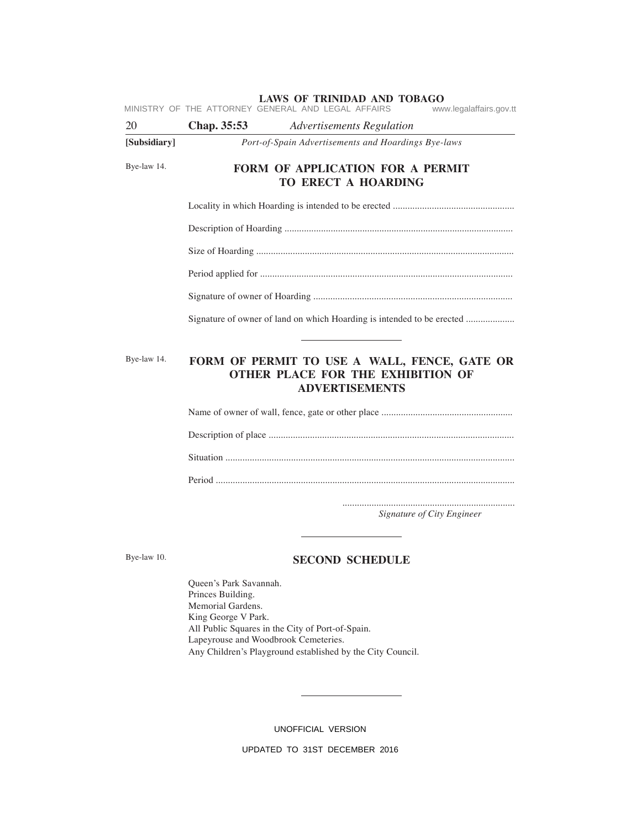|              |                                                                        | MINISTRY OF THE ATTORNEY GENERAL AND LEGAL AFFAIRS                                                                | www.legalaffairs.gov.tt    |
|--------------|------------------------------------------------------------------------|-------------------------------------------------------------------------------------------------------------------|----------------------------|
| 20           | Chap. 35:53                                                            | <b>Advertisements Regulation</b>                                                                                  |                            |
| [Subsidiary] | Port-of-Spain Advertisements and Hoardings Bye-laws                    |                                                                                                                   |                            |
| Bye-law 14.  |                                                                        | FORM OF APPLICATION FOR A PERMIT<br>TO ERECT A HOARDING                                                           |                            |
|              |                                                                        |                                                                                                                   |                            |
|              |                                                                        |                                                                                                                   |                            |
|              |                                                                        |                                                                                                                   |                            |
|              |                                                                        |                                                                                                                   |                            |
|              |                                                                        |                                                                                                                   |                            |
|              | Signature of owner of land on which Hoarding is intended to be erected |                                                                                                                   |                            |
| Bye-law 14.  |                                                                        | FORM OF PERMIT TO USE A WALL, FENCE, GATE OR<br><b>OTHER PLACE FOR THE EXHIBITION OF</b><br><b>ADVERTISEMENTS</b> |                            |
|              |                                                                        |                                                                                                                   |                            |
|              |                                                                        |                                                                                                                   |                            |
|              |                                                                        |                                                                                                                   |                            |
|              |                                                                        |                                                                                                                   |                            |
|              |                                                                        |                                                                                                                   | Signature of City Engineer |
|              |                                                                        |                                                                                                                   |                            |

Bye-law 10.

# **SECOND SCHEDULE**

Queen's Park Savannah. Princes Building. Memorial Gardens. King George V Park. All Public Squares in the City of Port-of-Spain. Lapeyrouse and Woodbrook Cemeteries. Any Children's Playground established by the City Council.

UNOFFICIAL VERSION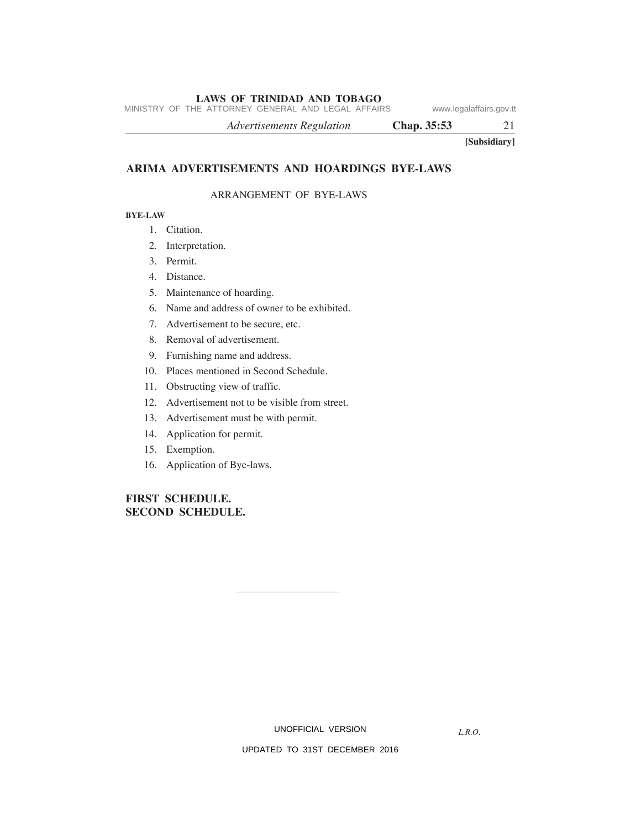MINISTRY OF THE ATTORNEY GENERAL AND LEGAL AFFAIRS www.legalaffairs.gov.tt

*Advertisements Regulation* **Chap. 35:53** 21

**[Subsidiary]**

# **ARIMA ADVERTISEMENTS AND HOARDINGS BYE-LAWS**

#### ARRANGEMENT OF BYE-LAWS

#### **BYE-LAW**

- 1. Citation.
- 2. Interpretation.
- 3. Permit.
- 4. Distance.
- 5. Maintenance of hoarding.
- 6. Name and address of owner to be exhibited.
- 7. Advertisement to be secure, etc.
- 8. Removal of advertisement.
- 9. Furnishing name and address.
- 10. Places mentioned in Second Schedule.
- 11. Obstructing view of traffic.
- 12. Advertisement not to be visible from street.
- 13. Advertisement must be with permit.
- 14. Application for permit.
- 15. Exemption.
- 16. Application of Bye-laws.

# **FIRST SCHEDULE. SECOND SCHEDULE.**

UNOFFICIAL VERSION

*L.R.O.*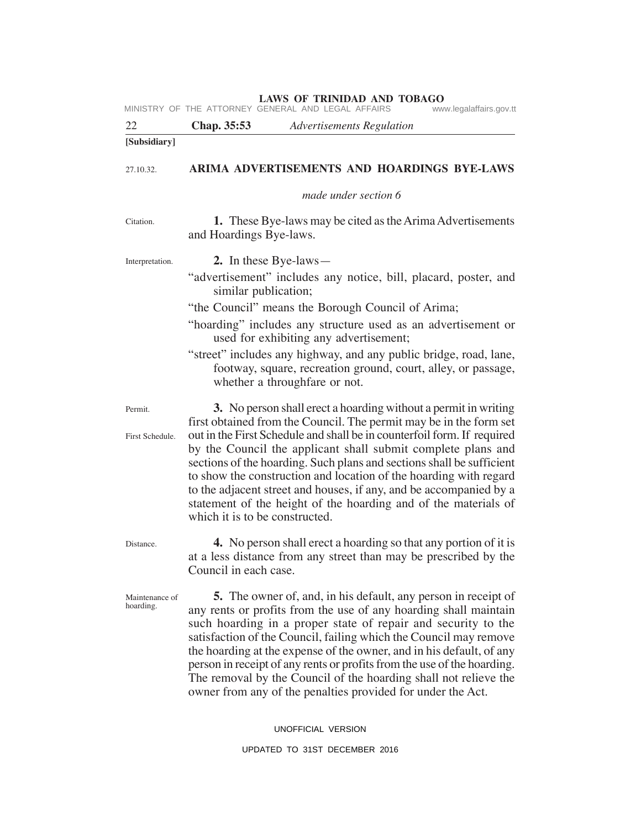| <b>LAWS OF TRINIDAD AND TOBAGO</b><br>MINISTRY OF THE ATTORNEY GENERAL AND LEGAL AFFAIRS<br>www.legalaffairs.gov.tt |                                               |                                                                                                                                                                                                                                                                                                                                                                                                                                                                                                                                                                         |
|---------------------------------------------------------------------------------------------------------------------|-----------------------------------------------|-------------------------------------------------------------------------------------------------------------------------------------------------------------------------------------------------------------------------------------------------------------------------------------------------------------------------------------------------------------------------------------------------------------------------------------------------------------------------------------------------------------------------------------------------------------------------|
| 22                                                                                                                  | Chap. 35:53                                   | <b>Advertisements Regulation</b>                                                                                                                                                                                                                                                                                                                                                                                                                                                                                                                                        |
| [Subsidiary]                                                                                                        |                                               |                                                                                                                                                                                                                                                                                                                                                                                                                                                                                                                                                                         |
| 27.10.32.                                                                                                           |                                               | ARIMA ADVERTISEMENTS AND HOARDINGS BYE-LAWS                                                                                                                                                                                                                                                                                                                                                                                                                                                                                                                             |
|                                                                                                                     |                                               | made under section 6                                                                                                                                                                                                                                                                                                                                                                                                                                                                                                                                                    |
| Citation.                                                                                                           | and Hoardings Bye-laws.                       | <b>1.</b> These Bye-laws may be cited as the Arima Advertisements                                                                                                                                                                                                                                                                                                                                                                                                                                                                                                       |
| Interpretation.                                                                                                     | 2. In these Bye-laws—<br>similar publication; | "advertisement" includes any notice, bill, placard, poster, and<br>"the Council" means the Borough Council of Arima;<br>"hoarding" includes any structure used as an advertisement or<br>used for exhibiting any advertisement;<br>"street" includes any highway, and any public bridge, road, lane,<br>footway, square, recreation ground, court, alley, or passage,<br>whether a throughfare or not.                                                                                                                                                                  |
| Permit.<br>First Schedule.                                                                                          | which it is to be constructed.                | 3. No person shall erect a hoarding without a permit in writing<br>first obtained from the Council. The permit may be in the form set<br>out in the First Schedule and shall be in counterfoil form. If required<br>by the Council the applicant shall submit complete plans and<br>sections of the hoarding. Such plans and sections shall be sufficient<br>to show the construction and location of the hoarding with regard<br>to the adjacent street and houses, if any, and be accompanied by a<br>statement of the height of the hoarding and of the materials of |
| Distance.                                                                                                           | Council in each case.                         | 4. No person shall erect a hoarding so that any portion of it is<br>at a less distance from any street than may be prescribed by the                                                                                                                                                                                                                                                                                                                                                                                                                                    |
| Maintenance of<br>hoarding.                                                                                         |                                               | 5. The owner of, and, in his default, any person in receipt of<br>any rents or profits from the use of any hoarding shall maintain<br>such hoarding in a proper state of repair and security to the<br>satisfaction of the Council, failing which the Council may remove<br>the hoarding at the expense of the owner, and in his default, of any<br>person in receipt of any rents or profits from the use of the hoarding.<br>The removal by the Council of the hoarding shall not relieve the<br>owner from any of the penalties provided for under the Act.          |

UNOFFICIAL VERSION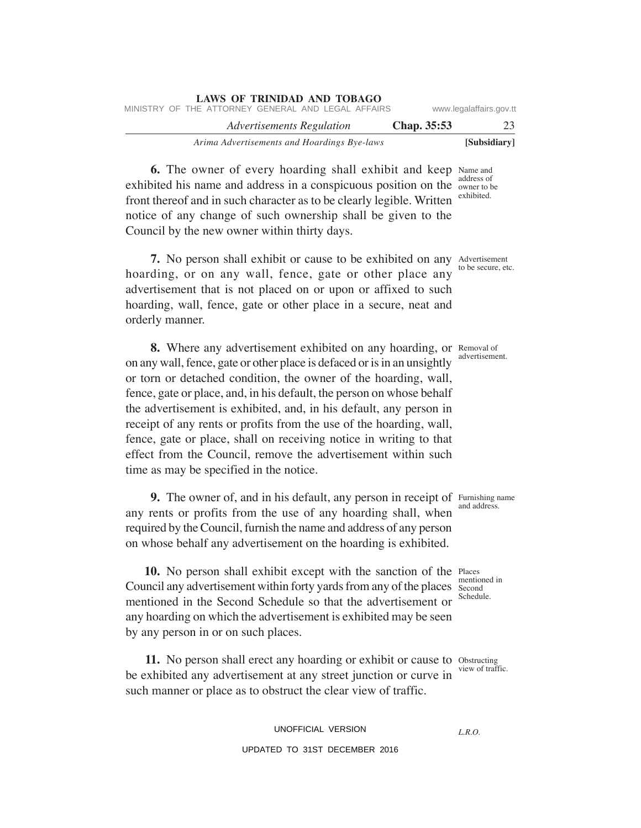| <b>LAWS OF TRINIDAD AND TOBAGO</b><br>MINISTRY OF THE ATTORNEY GENERAL AND LEGAL AFFAIRS |             | www.legalaffairs.gov.tt |
|------------------------------------------------------------------------------------------|-------------|-------------------------|
| Advertisements Regulation                                                                | Chap. 35:53 | 23                      |
| Arima Advertisements and Hoardings Bye-laws                                              |             | [Subsidiary]            |

**6.** The owner of every hoarding shall exhibit and keep Name and exhibited his name and address in a conspicuous position on the owner to be front thereof and in such character as to be clearly legible. Written notice of any change of such ownership shall be given to the Council by the new owner within thirty days. address of exhibited.

**7.** No person shall exhibit or cause to be exhibited on any Advertisement hoarding, or on any wall, fence, gate or other place any advertisement that is not placed on or upon or affixed to such hoarding, wall, fence, gate or other place in a secure, neat and orderly manner.

8. Where any advertisement exhibited on any hoarding, or Removal of on any wall, fence, gate or other place is defaced or is in an unsightly or torn or detached condition, the owner of the hoarding, wall, fence, gate or place, and, in his default, the person on whose behalf the advertisement is exhibited, and, in his default, any person in receipt of any rents or profits from the use of the hoarding, wall, fence, gate or place, shall on receiving notice in writing to that effect from the Council, remove the advertisement within such time as may be specified in the notice.

**9.** The owner of, and in his default, any person in receipt of Furnishing name any rents or profits from the use of any hoarding shall, when required by the Council, furnish the name and address of any person on whose behalf any advertisement on the hoarding is exhibited.

10. No person shall exhibit except with the sanction of the Places Council any advertisement within forty yards from any of the places Second mentioned in the Second Schedule so that the advertisement or any hoarding on which the advertisement is exhibited may be seen by any person in or on such places.

11. No person shall erect any hoarding or exhibit or cause to Obstructing be exhibited any advertisement at any street junction or curve in such manner or place as to obstruct the clear view of traffic.

> UNOFFICIAL VERSION UPDATED TO 31ST DECEMBER 2016

to be secure, etc.

advertisement.

and address.

mentioned in Schedule.

view of traffic.

*L.R.O.*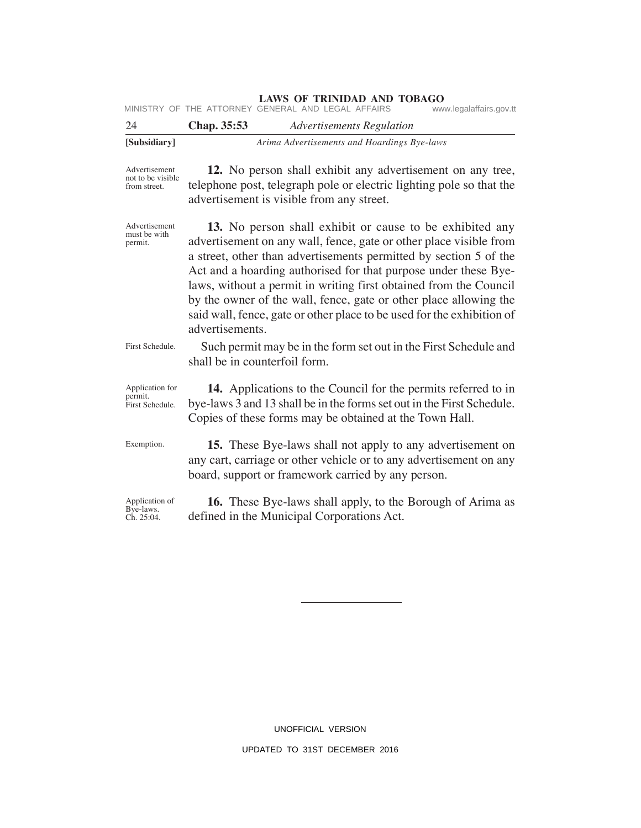| MINISTRY OF THE ATTORNEY GENERAL AND LEGAL AFFAIRS<br>www.legalaffairs.gov.tt |
|-------------------------------------------------------------------------------|
|-------------------------------------------------------------------------------|

| 24           | Chap. 35:53 | <b>Advertisements Regulation</b>            |
|--------------|-------------|---------------------------------------------|
| [Subsidiary] |             | Arima Advertisements and Hoardings Bye-laws |

Advertisement not to be visible from street.

**12.** No person shall exhibit any advertisement on any tree, telephone post, telegraph pole or electric lighting pole so that the advertisement is visible from any street.

Advertisement must be with permit.

**13.** No person shall exhibit or cause to be exhibited any advertisement on any wall, fence, gate or other place visible from a street, other than advertisements permitted by section 5 of the Act and a hoarding authorised for that purpose under these Byelaws, without a permit in writing first obtained from the Council by the owner of the wall, fence, gate or other place allowing the said wall, fence, gate or other place to be used for the exhibition of advertisements.

Such permit may be in the form set out in the First Schedule and shall be in counterfoil form. First Schedule.

**14.** Applications to the Council for the permits referred to in bye-laws 3 and 13 shall be in the forms set out in the First Schedule. Copies of these forms may be obtained at the Town Hall. Application for permit. First Schedule.

**15.** These Bye-laws shall not apply to any advertisement on any cart, carriage or other vehicle or to any advertisement on any board, support or framework carried by any person. Exemption.

Application of Bye-laws. Ch. 25:04.

**16.** These Bye-laws shall apply, to the Borough of Arima as defined in the Municipal Corporations Act.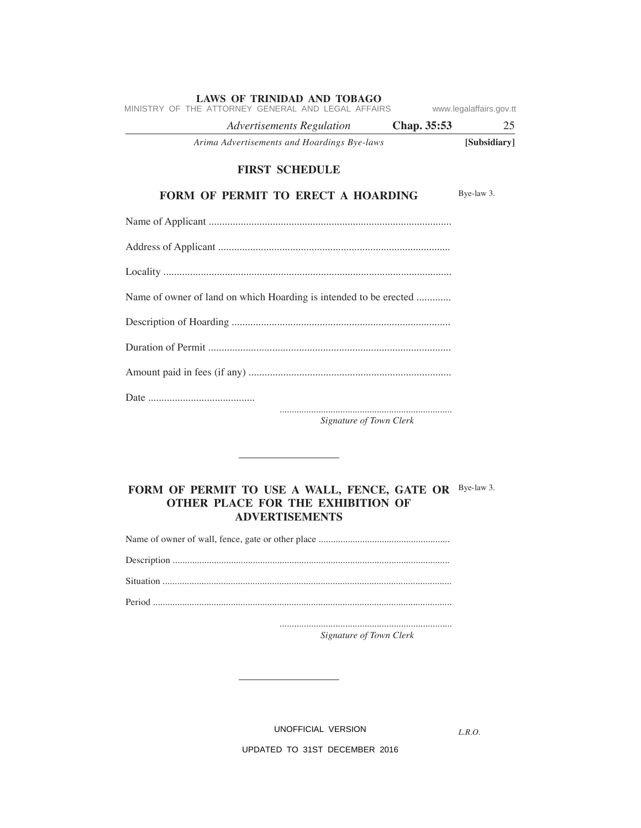| <b>LAWS OF TRINIDAD AND TOBAGO</b><br>MINISTRY OF THE ATTORNEY GENERAL AND LEGAL AFFAIRS | www.legalaffairs.gov.tt |
|------------------------------------------------------------------------------------------|-------------------------|
| <b>Advertisements Regulation</b><br>Chap. 35:53                                          | 25                      |
| Arima Advertisements and Hoardings Bye-laws                                              | [Subsidiary]            |
| <b>FIRST SCHEDULE</b>                                                                    |                         |
| <b>FORM OF PERMIT TO ERECT A HOARDING</b>                                                | Bye-law 3.              |
|                                                                                          |                         |
|                                                                                          |                         |
|                                                                                          |                         |
| Name of owner of land on which Hoarding is intended to be erected                        |                         |
|                                                                                          |                         |
|                                                                                          |                         |
|                                                                                          |                         |
|                                                                                          |                         |
| Signature of Town Clerk                                                                  |                         |

# FORM OF PERMIT TO USE A WALL, FENCE, GATE OR Bye-law 3. **OTHER PLACE FOR THE EXHIBITION OF ADVERTISEMENTS**

Name of owner of wall, fence, gate or other place ......................................................

Description .................................................................................................................. Situation .......................................................................................................................

Period ...........................................................................................................................

....................................................................... *Signature of Town Clerk*

UNOFFICIAL VERSION

*L.R.O.*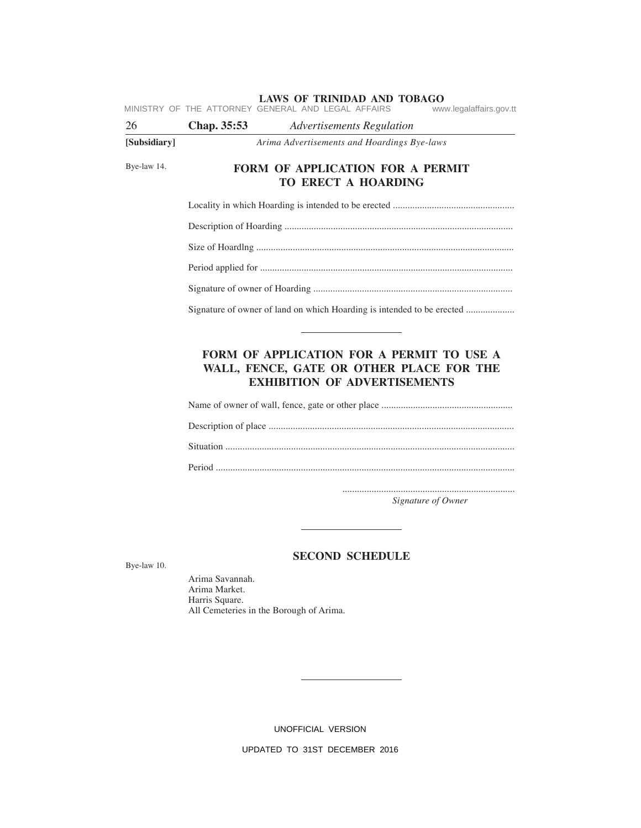| 26           | www.legalaffairs.gov.tt<br>Chap. 35:53<br><b>Advertisements Regulation</b>                    |  |  |
|--------------|-----------------------------------------------------------------------------------------------|--|--|
| [Subsidiary] | Arima Advertisements and Hoardings Bye-laws                                                   |  |  |
| Bye-law 14.  | <b>FORM OF APPLICATION FOR A PERMIT</b><br>TO ERECT A HOARDING                                |  |  |
|              |                                                                                               |  |  |
|              |                                                                                               |  |  |
|              |                                                                                               |  |  |
|              |                                                                                               |  |  |
|              |                                                                                               |  |  |
|              | Signature of owner of land on which Hoarding is intended to be erected                        |  |  |
|              |                                                                                               |  |  |
|              |                                                                                               |  |  |
|              |                                                                                               |  |  |
|              |                                                                                               |  |  |
|              | Signature of Owner                                                                            |  |  |
| Bye-law 10.  | <b>SECOND SCHEDULE</b>                                                                        |  |  |
|              | Arima Savannah.<br>Arima Market.<br>Harris Square.<br>All Cemeteries in the Borough of Arima. |  |  |

UNOFFICIAL VERSION

 $\overline{\phantom{0}}$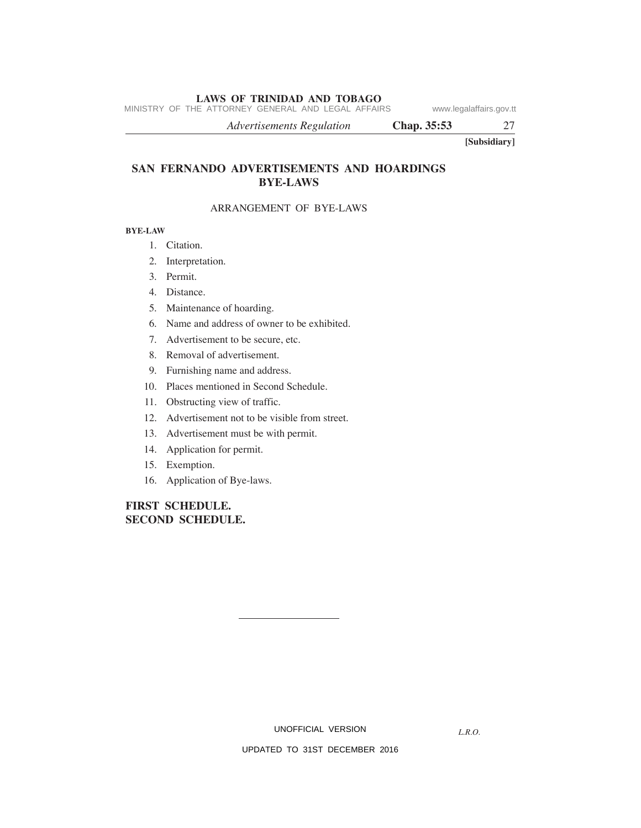MINISTRY OF THE ATTORNEY GENERAL AND LEGAL AFFAIRS www.legalaffairs.gov.tt

*Advertisements Regulation* **Chap. 35:53** 27

**[Subsidiary]**

# **SAN FERNANDO ADVERTISEMENTS AND HOARDINGS BYE-LAWS**

# ARRANGEMENT OF BYE-LAWS

#### **BYE-LAW**

- 1. Citation.
- 2. Interpretation.
- 3. Permit.
- 4. Distance.
- 5. Maintenance of hoarding.
- 6. Name and address of owner to be exhibited.
- 7. Advertisement to be secure, etc.
- 8. Removal of advertisement.
- 9. Furnishing name and address.
- 10. Places mentioned in Second Schedule.
- 11. Obstructing view of traffic.
- 12. Advertisement not to be visible from street.
- 13. Advertisement must be with permit.
- 14. Application for permit.
- 15. Exemption.
- 16. Application of Bye-laws.

# **FIRST SCHEDULE. SECOND SCHEDULE.**

UNOFFICIAL VERSION

*L.R.O.*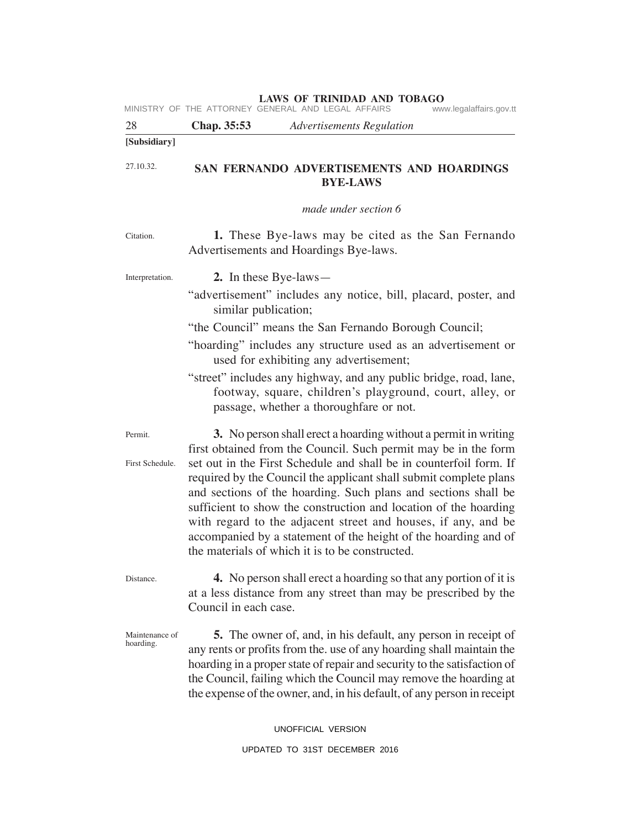| <b>LAWS OF TRINIDAD AND TOBAGO</b><br>MINISTRY OF THE ATTORNEY GENERAL AND LEGAL AFFAIRS<br>www.legalaffairs.gov.tt |                                               |                                                                                                                                                                                                                                                                                                                                                                                                                                                                                                                                                                                                            |
|---------------------------------------------------------------------------------------------------------------------|-----------------------------------------------|------------------------------------------------------------------------------------------------------------------------------------------------------------------------------------------------------------------------------------------------------------------------------------------------------------------------------------------------------------------------------------------------------------------------------------------------------------------------------------------------------------------------------------------------------------------------------------------------------------|
| 28                                                                                                                  | Chap. 35:53                                   | <b>Advertisements Regulation</b>                                                                                                                                                                                                                                                                                                                                                                                                                                                                                                                                                                           |
| [Subsidiary]                                                                                                        |                                               |                                                                                                                                                                                                                                                                                                                                                                                                                                                                                                                                                                                                            |
| 27.10.32.                                                                                                           |                                               | SAN FERNANDO ADVERTISEMENTS AND HOARDINGS<br><b>BYE-LAWS</b>                                                                                                                                                                                                                                                                                                                                                                                                                                                                                                                                               |
|                                                                                                                     |                                               | made under section 6                                                                                                                                                                                                                                                                                                                                                                                                                                                                                                                                                                                       |
| Citation.                                                                                                           |                                               | <b>1.</b> These Bye-laws may be cited as the San Fernando<br>Advertisements and Hoardings Bye-laws.                                                                                                                                                                                                                                                                                                                                                                                                                                                                                                        |
| Interpretation.                                                                                                     | 2. In these Bye-laws—<br>similar publication; | "advertisement" includes any notice, bill, placard, poster, and<br>"the Council" means the San Fernando Borough Council;<br>"hoarding" includes any structure used as an advertisement or<br>used for exhibiting any advertisement;<br>"street" includes any highway, and any public bridge, road, lane,<br>footway, square, children's playground, court, alley, or<br>passage, whether a thoroughfare or not.                                                                                                                                                                                            |
| Permit.<br>First Schedule.                                                                                          |                                               | 3. No person shall erect a hoarding without a permit in writing<br>first obtained from the Council. Such permit may be in the form<br>set out in the First Schedule and shall be in counterfoil form. If<br>required by the Council the applicant shall submit complete plans<br>and sections of the hoarding. Such plans and sections shall be<br>sufficient to show the construction and location of the hoarding<br>with regard to the adjacent street and houses, if any, and be<br>accompanied by a statement of the height of the hoarding and of<br>the materials of which it is to be constructed. |
| Distance.                                                                                                           | Council in each case.                         | 4. No person shall erect a hoarding so that any portion of it is<br>at a less distance from any street than may be prescribed by the                                                                                                                                                                                                                                                                                                                                                                                                                                                                       |
| Maintenance of<br>hoarding.                                                                                         |                                               | <b>5.</b> The owner of, and, in his default, any person in receipt of<br>any rents or profits from the. use of any hoarding shall maintain the<br>hoarding in a proper state of repair and security to the satisfaction of<br>the Council, failing which the Council may remove the hoarding at<br>the expense of the owner, and, in his default, of any person in receipt                                                                                                                                                                                                                                 |

### UNOFFICIAL VERSION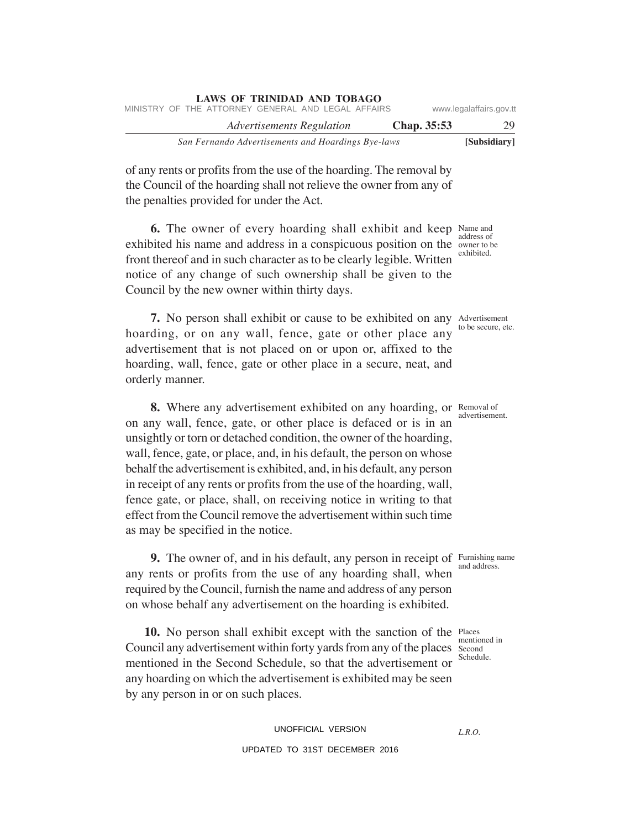|                         |             | LAWS OF INIMIDAD AND TODAUO                        |  |  |  |
|-------------------------|-------------|----------------------------------------------------|--|--|--|
| www.legalaffairs.gov.tt |             | MINISTRY OF THE ATTORNEY GENERAL AND LEGAL AFFAIRS |  |  |  |
| 29                      | Chap. 35:53 | <b>Advertisements Regulation</b>                   |  |  |  |
| [Subsidiary]            |             | San Fernando Advertisements and Hoardings Bye-laws |  |  |  |

of any rents or profits from the use of the hoarding. The removal by the Council of the hoarding shall not relieve the owner from any of the penalties provided for under the Act.

**LAWS OF TRINIDAD AND TOBAGO**

**6.** The owner of every hoarding shall exhibit and keep Name and exhibited his name and address in a conspicuous position on the owner to be front thereof and in such character as to be clearly legible. Written notice of any change of such ownership shall be given to the Council by the new owner within thirty days.

**7.** No person shall exhibit or cause to be exhibited on any Advertisement hoarding, or on any wall, fence, gate or other place any advertisement that is not placed on or upon or, affixed to the hoarding, wall, fence, gate or other place in a secure, neat, and orderly manner.

**8.** Where any advertisement exhibited on any hoarding, or Removal of on any wall, fence, gate, or other place is defaced or is in an unsightly or torn or detached condition, the owner of the hoarding, wall, fence, gate, or place, and, in his default, the person on whose behalf the advertisement is exhibited, and, in his default, any person in receipt of any rents or profits from the use of the hoarding, wall, fence gate, or place, shall, on receiving notice in writing to that effect from the Council remove the advertisement within such time as may be specified in the notice.

**9.** The owner of, and in his default, any person in receipt of Furnishing name any rents or profits from the use of any hoarding shall, when required by the Council, furnish the name and address of any person on whose behalf any advertisement on the hoarding is exhibited.

**10.** No person shall exhibit except with the sanction of the Places Council any advertisement within forty yards from any of the places Second mentioned in the Second Schedule, so that the advertisement or any hoarding on which the advertisement is exhibited may be seen by any person in or on such places.

> UNOFFICIAL VERSION UPDATED TO 31ST DECEMBER 2016

and address.

mentioned in Schedule.

to be secure, etc.

advertisement.

address of exhibited.

*L.R.O.*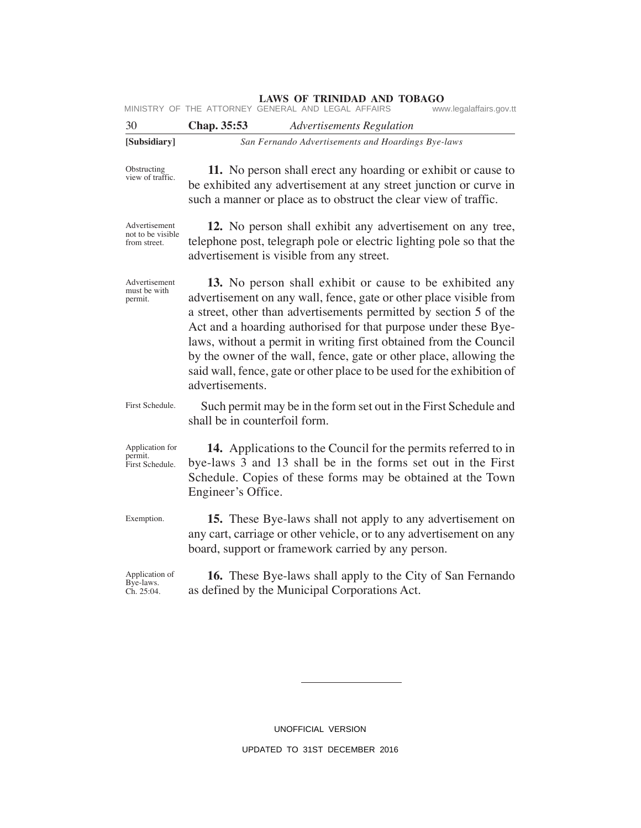|  | MINISTRY OF THE ATTORNEY GENERAL AND LEGAL AFFAIRS |  |  |  | www.legalaffairs.gov.tt |
|--|----------------------------------------------------|--|--|--|-------------------------|
|--|----------------------------------------------------|--|--|--|-------------------------|

| - 30         | Chap. 35:53 | <b>Advertisements Regulation</b>                   |
|--------------|-------------|----------------------------------------------------|
| [Subsidiary] |             | San Fernando Advertisements and Hoardings Bye-laws |

Obstructing view of traffic.

**11.** No person shall erect any hoarding or exhibit or cause to be exhibited any advertisement at any street junction or curve in such a manner or place as to obstruct the clear view of traffic.

Advertisement not to be visible from street.

permit.

**12.** No person shall exhibit any advertisement on any tree, telephone post, telegraph pole or electric lighting pole so that the advertisement is visible from any street.

**13.** No person shall exhibit or cause to be exhibited any advertisement on any wall, fence, gate or other place visible from a street, other than advertisements permitted by section 5 of the Act and a hoarding authorised for that purpose under these Byelaws, without a permit in writing first obtained from the Council by the owner of the wall, fence, gate or other place, allowing the said wall, fence, gate or other place to be used for the exhibition of advertisements. Advertisement must be with

Such permit may be in the form set out in the First Schedule and shall be in counterfoil form. First Schedule.

Application for permit. First Schedule.

Exemption.

**14.** Applications to the Council for the permits referred to in bye-laws 3 and 13 shall be in the forms set out in the First Schedule. Copies of these forms may be obtained at the Town Engineer's Office.

**15.** These Bye-laws shall not apply to any advertisement on any cart, carriage or other vehicle, or to any advertisement on any board, support or framework carried by any person.

**16.** These Bye-laws shall apply to the City of San Fernando as defined by the Municipal Corporations Act. Application of Bye-laws. Ch. 25:04.

> UNOFFICIAL VERSION UPDATED TO 31ST DECEMBER 2016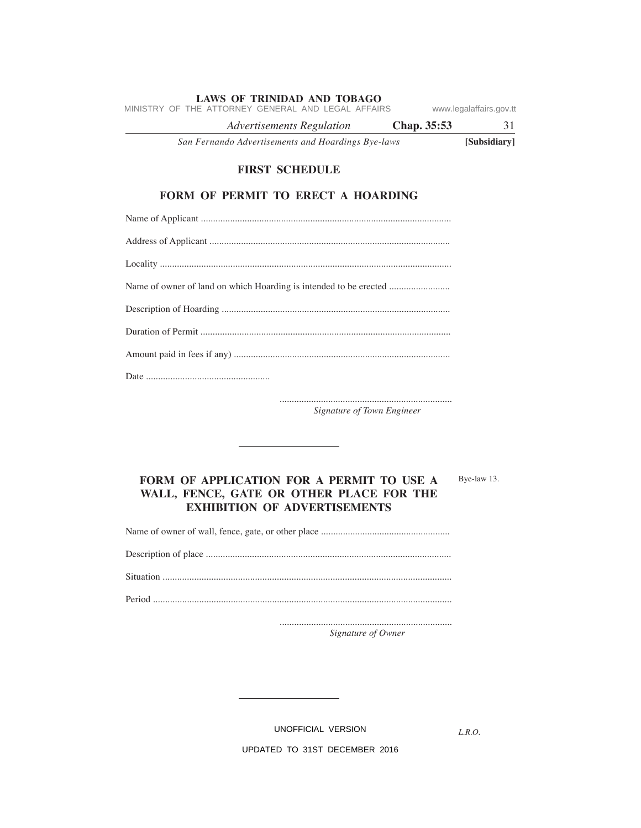|  |                                                    | Advertisements Regulation |  |  | Chap. 35:53 |                         |  |
|--|----------------------------------------------------|---------------------------|--|--|-------------|-------------------------|--|
|  | MINISTRY OF THE ATTORNEY GENERAL AND LEGAL AFFAIRS |                           |  |  |             | www.legalaffairs.gov.tt |  |

*San Fernando Advertisements and Hoardings Bye-laws* **[Subsidiary]**

# **FIRST SCHEDULE**

# **FORM OF PERMIT TO ERECT A HOARDING**

....................................................................... *Signature of Town Engineer*

# **FORM OF APPLICATION FOR A PERMIT TO USE A WALL, FENCE, GATE OR OTHER PLACE FOR THE EXHIBITION OF ADVERTISEMENTS**

Name of owner of wall, fence, gate, or other place .....................................................

Description of place .....................................................................................................

Situation .......................................................................................................................

Period ...........................................................................................................................

....................................................................... *Signature of Owner*

UNOFFICIAL VERSION

*L.R.O.* 

Bye-law 13.